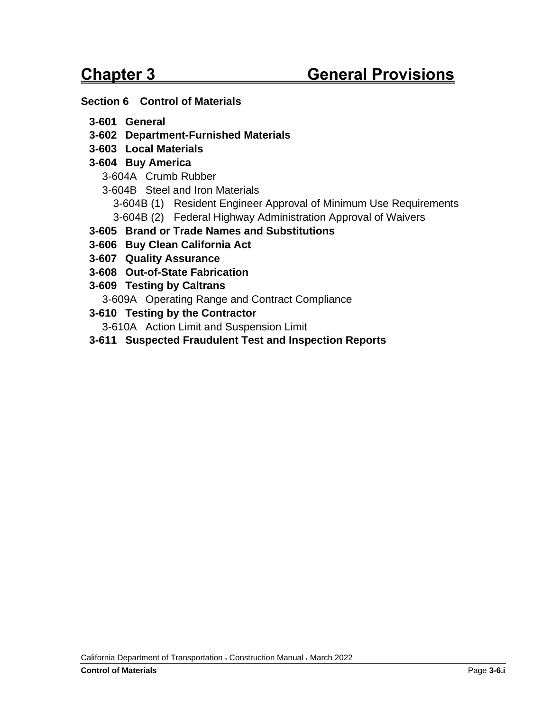#### **Section 6 [Control of Materials](#page-2-0)**

- **3-601 [General](#page-2-1)**
- **3-602 [Department-Furnished Materials](#page-2-2)**
- **3-603 [Local Materials](#page-3-0)**

### **3-604 [Buy America](#page-4-0)**

- 3-604A [Crumb Rubber](#page-4-1)
- 3-604B [Steel and Iron Materials](#page-4-2)
	- 3-604B (1) [Resident Engineer Approval of Minimum Use Requirements](#page-5-0)
	- 3-604B (2) [Federal Highway Administration Approval of Waivers](#page-5-1)
- **3-605 [Brand or Trade Names and Substitutions](#page-6-0)**
- **3-606 [Buy Clean California Act](#page-6-1)**
- **3-607 [Quality Assurance](#page-7-0)**
- **3-608 [Out-of-State Fabrication](#page-8-0)**
- **3-609 [Testing by Caltrans](#page-8-1)**
	- 3-609A [Operating Range and Contract Compliance](#page-9-0)
- **3-610 [Testing by the Contractor](#page-9-1)**
	- 3-610A [Action Limit and Suspension Limit](#page-10-0)
- **3-611 [Suspected Fraudulent Test and Inspection Reports](#page-10-1)**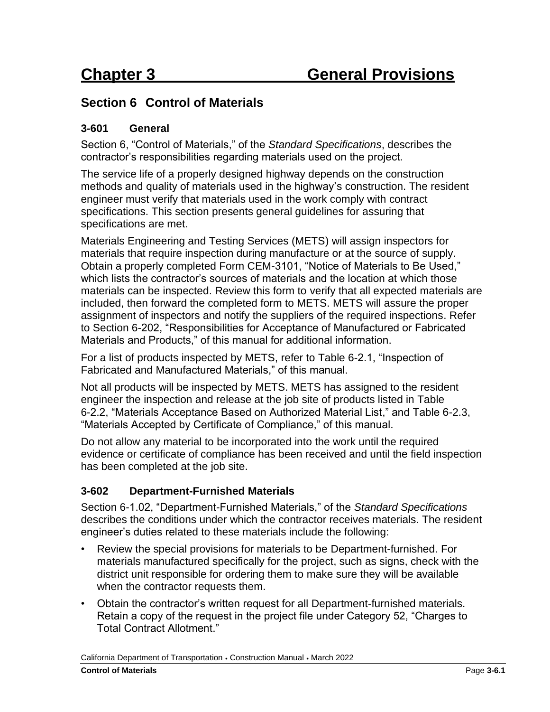# <span id="page-2-0"></span>**Section 6 Control of Materials**

#### <span id="page-2-1"></span>**3-601 General**

Section 6, "Control of Materials," of the *Standard Specifications*, describes the contractor's responsibilities regarding materials used on the project.

The service life of a properly designed highway depends on the construction methods and quality of materials used in the highway's construction. The resident engineer must verify that materials used in the work comply with contract specifications. This section presents general guidelines for assuring that specifications are met.

Materials Engineering and Testing Services (METS) will assign inspectors for materials that require inspection during manufacture or at the source of supply. Obtain a properly completed Form CEM-3101, "Notice of Materials to Be Used," which lists the contractor's sources of materials and the location at which those materials can be inspected. Review this form to verify that all expected materials are included, then forward the completed form to METS. METS will assure the proper assignment of inspectors and notify the suppliers of the required inspections. Refer to Section 6-202, "Responsibilities for Acceptance of Manufactured or Fabricated Materials and Products," of this manual for additional information.

For a list of products inspected by METS, refer to Table 6-2.1, "Inspection of Fabricated and Manufactured Materials," of this manual.

Not all products will be inspected by METS. METS has assigned to the resident engineer the inspection and release at the job site of products listed in Table 6-2.2, "Materials Acceptance Based on Authorized Material List," and Table 6-2.3, "Materials Accepted by Certificate of Compliance," of this manual.

Do not allow any material to be incorporated into the work until the required evidence or certificate of compliance has been received and until the field inspection has been completed at the job site.

### <span id="page-2-2"></span>**3-602 Department-Furnished Materials**

Section 6-1.02, "Department-Furnished Materials," of the *Standard Specifications* describes the conditions under which the contractor receives materials. The resident engineer's duties related to these materials include the following:

- Review the special provisions for materials to be Department-furnished. For materials manufactured specifically for the project, such as signs, check with the district unit responsible for ordering them to make sure they will be available when the contractor requests them.
- Obtain the contractor's written request for all Department-furnished materials. Retain a copy of the request in the project file under Category 52, "Charges to Total Contract Allotment."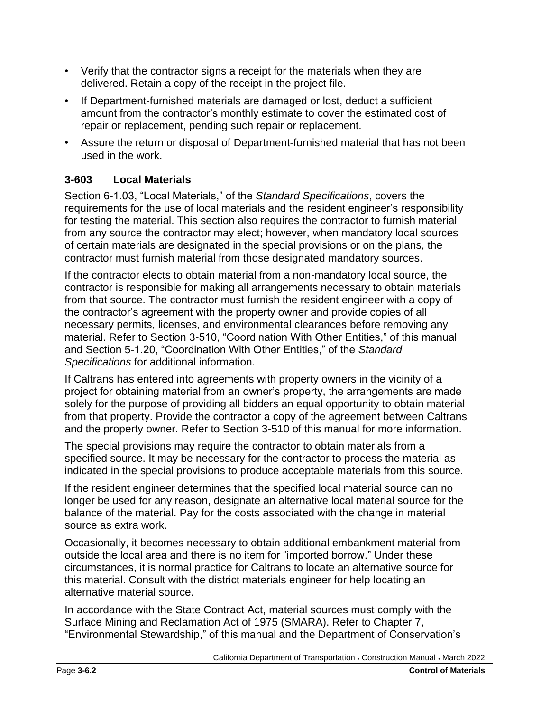- Verify that the contractor signs a receipt for the materials when they are delivered. Retain a copy of the receipt in the project file.
- If Department-furnished materials are damaged or lost, deduct a sufficient amount from the contractor's monthly estimate to cover the estimated cost of repair or replacement, pending such repair or replacement.
- Assure the return or disposal of Department-furnished material that has not been used in the work.

## <span id="page-3-0"></span>**3-603 Local Materials**

Section 6-1.03, "Local Materials," of the *Standard Specifications*, covers the requirements for the use of local materials and the resident engineer's responsibility for testing the material. This section also requires the contractor to furnish material from any source the contractor may elect; however, when mandatory local sources of certain materials are designated in the special provisions or on the plans, the contractor must furnish material from those designated mandatory sources.

If the contractor elects to obtain material from a non-mandatory local source, the contractor is responsible for making all arrangements necessary to obtain materials from that source. The contractor must furnish the resident engineer with a copy of the contractor's agreement with the property owner and provide copies of all necessary permits, licenses, and environmental clearances before removing any material. Refer to Section 3-510, "Coordination With Other Entities," of this manual and Section 5-1.20, "Coordination With Other Entities," of the *Standard Specifications* for additional information.

If Caltrans has entered into agreements with property owners in the vicinity of a project for obtaining material from an owner's property, the arrangements are made solely for the purpose of providing all bidders an equal opportunity to obtain material from that property. Provide the contractor a copy of the agreement between Caltrans and the property owner. Refer to Section 3-510 of this manual for more information.

The special provisions may require the contractor to obtain materials from a specified source. It may be necessary for the contractor to process the material as indicated in the special provisions to produce acceptable materials from this source.

If the resident engineer determines that the specified local material source can no longer be used for any reason, designate an alternative local material source for the balance of the material. Pay for the costs associated with the change in material source as extra work.

Occasionally, it becomes necessary to obtain additional embankment material from outside the local area and there is no item for "imported borrow." Under these circumstances, it is normal practice for Caltrans to locate an alternative source for this material. Consult with the district materials engineer for help locating an alternative material source.

In accordance with the State Contract Act, material sources must comply with the Surface Mining and Reclamation Act of 1975 (SMARA). Refer to Chapter 7, "Environmental Stewardship," of this manual and the Department of Conservation's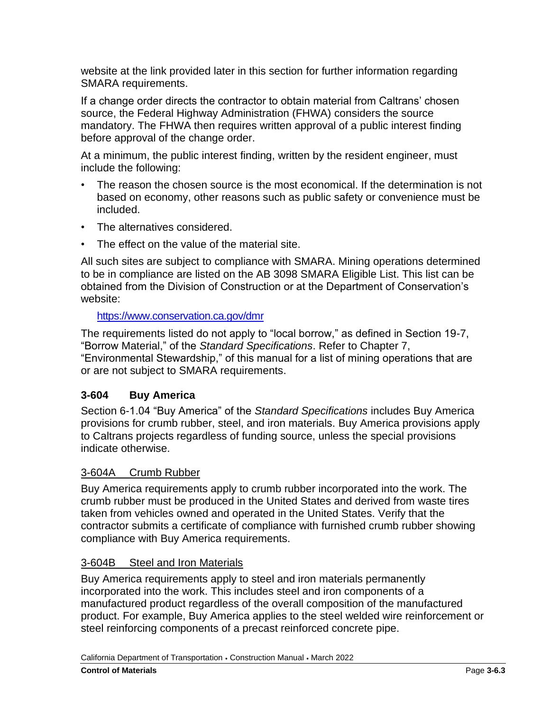website at the link provided later in this section for further information regarding SMARA requirements.

If a change order directs the contractor to obtain material from Caltrans' chosen source, the Federal Highway Administration (FHWA) considers the source mandatory. The FHWA then requires written approval of a public interest finding before approval of the change order.

At a minimum, the public interest finding, written by the resident engineer, must include the following:

- The reason the chosen source is the most economical. If the determination is not based on economy, other reasons such as public safety or convenience must be included.
- The alternatives considered.
- The effect on the value of the material site.

All such sites are subject to compliance with SMARA. Mining operations determined to be in compliance are listed on the AB 3098 SMARA Eligible List. This list can be obtained from the Division of Construction or at the Department of Conservation's website:

#### <https://www.conservation.ca.gov/dmr>

The requirements listed do not apply to "local borrow," as defined in Section 19-7, "Borrow Material," of the *Standard Specifications*. Refer to Chapter 7, "Environmental Stewardship," of this manual for a list of mining operations that are or are not subject to SMARA requirements.

#### <span id="page-4-0"></span>**3-604 Buy America**

Section 6-1.04 "Buy America" of the *Standard Specifications* includes Buy America provisions for crumb rubber, steel, and iron materials. Buy America provisions apply to Caltrans projects regardless of funding source, unless the special provisions indicate otherwise.

#### <span id="page-4-1"></span>3-604A Crumb Rubber

Buy America requirements apply to crumb rubber incorporated into the work. The crumb rubber must be produced in the United States and derived from waste tires taken from vehicles owned and operated in the United States. Verify that the contractor submits a certificate of compliance with furnished crumb rubber showing compliance with Buy America requirements.

#### <span id="page-4-2"></span>3-604B Steel and Iron Materials

Buy America requirements apply to steel and iron materials permanently incorporated into the work. This includes steel and iron components of a manufactured product regardless of the overall composition of the manufactured product. For example, Buy America applies to the steel welded wire reinforcement or steel reinforcing components of a precast reinforced concrete pipe.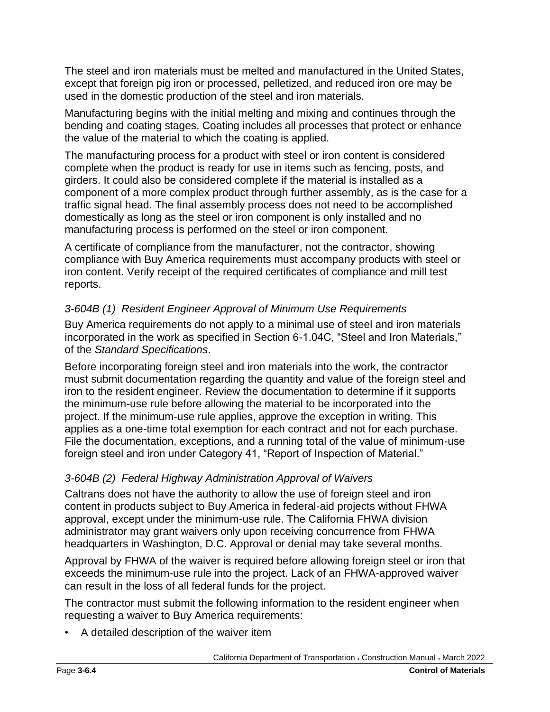The steel and iron materials must be melted and manufactured in the United States, except that foreign pig iron or processed, pelletized, and reduced iron ore may be used in the domestic production of the steel and iron materials.

Manufacturing begins with the initial melting and mixing and continues through the bending and coating stages. Coating includes all processes that protect or enhance the value of the material to which the coating is applied.

The manufacturing process for a product with steel or iron content is considered complete when the product is ready for use in items such as fencing, posts, and girders. It could also be considered complete if the material is installed as a component of a more complex product through further assembly, as is the case for a traffic signal head. The final assembly process does not need to be accomplished domestically as long as the steel or iron component is only installed and no manufacturing process is performed on the steel or iron component.

A certificate of compliance from the manufacturer, not the contractor, showing compliance with Buy America requirements must accompany products with steel or iron content. Verify receipt of the required certificates of compliance and mill test reports.

### <span id="page-5-0"></span>*3-604B (1) Resident Engineer Approval of Minimum Use Requirements*

Buy America requirements do not apply to a minimal use of steel and iron materials incorporated in the work as specified in Section 6-1.04C, "Steel and Iron Materials," of the *Standard Specifications*.

Before incorporating foreign steel and iron materials into the work, the contractor must submit documentation regarding the quantity and value of the foreign steel and iron to the resident engineer. Review the documentation to determine if it supports the minimum-use rule before allowing the material to be incorporated into the project. If the minimum-use rule applies, approve the exception in writing. This applies as a one-time total exemption for each contract and not for each purchase. File the documentation, exceptions, and a running total of the value of minimum-use foreign steel and iron under Category 41, "Report of Inspection of Material."

### <span id="page-5-1"></span>*3-604B (2) Federal Highway Administration Approval of Waivers*

Caltrans does not have the authority to allow the use of foreign steel and iron content in products subject to Buy America in federal-aid projects without FHWA approval, except under the minimum-use rule. The California FHWA division administrator may grant waivers only upon receiving concurrence from FHWA headquarters in Washington, D.C. Approval or denial may take several months.

Approval by FHWA of the waiver is required before allowing foreign steel or iron that exceeds the minimum-use rule into the project. Lack of an FHWA-approved waiver can result in the loss of all federal funds for the project.

The contractor must submit the following information to the resident engineer when requesting a waiver to Buy America requirements:

• A detailed description of the waiver item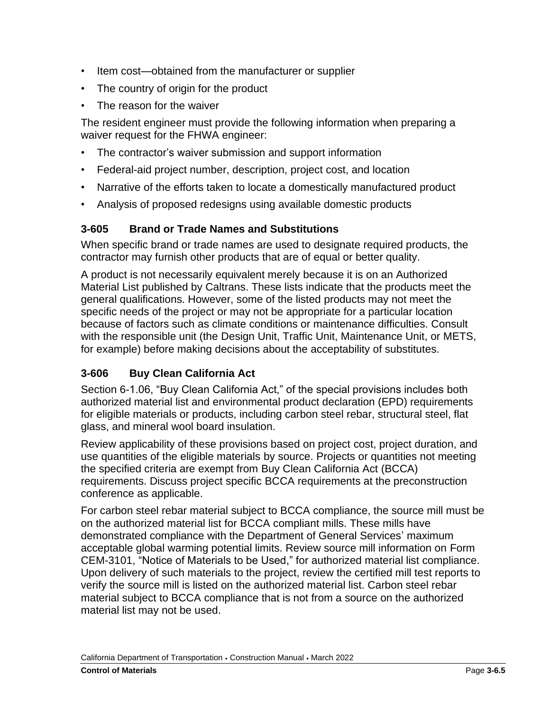- Item cost—obtained from the manufacturer or supplier
- The country of origin for the product
- The reason for the waiver

The resident engineer must provide the following information when preparing a waiver request for the FHWA engineer:

- The contractor's waiver submission and support information
- Federal-aid project number, description, project cost, and location
- Narrative of the efforts taken to locate a domestically manufactured product
- Analysis of proposed redesigns using available domestic products

### <span id="page-6-0"></span>**3-605 Brand or Trade Names and Substitutions**

When specific brand or trade names are used to designate required products, the contractor may furnish other products that are of equal or better quality.

A product is not necessarily equivalent merely because it is on an Authorized Material List published by Caltrans. These lists indicate that the products meet the general qualifications. However, some of the listed products may not meet the specific needs of the project or may not be appropriate for a particular location because of factors such as climate conditions or maintenance difficulties. Consult with the responsible unit (the Design Unit, Traffic Unit, Maintenance Unit, or METS, for example) before making decisions about the acceptability of substitutes.

# <span id="page-6-1"></span>**3-606 Buy Clean California Act**

Section 6-1.06, "Buy Clean California Act," of the special provisions includes both authorized material list and environmental product declaration (EPD) requirements for eligible materials or products, including carbon steel rebar, structural steel, flat glass, and mineral wool board insulation.

Review applicability of these provisions based on project cost, project duration, and use quantities of the eligible materials by source. Projects or quantities not meeting the specified criteria are exempt from Buy Clean California Act (BCCA) requirements. Discuss project specific BCCA requirements at the preconstruction conference as applicable.

For carbon steel rebar material subject to BCCA compliance, the source mill must be on the authorized material list for BCCA compliant mills. These mills have demonstrated compliance with the Department of General Services' maximum acceptable global warming potential limits. Review source mill information on Form CEM-3101, "Notice of Materials to be Used," for authorized material list compliance. Upon delivery of such materials to the project, review the certified mill test reports to verify the source mill is listed on the authorized material list. Carbon steel rebar material subject to BCCA compliance that is not from a source on the authorized material list may not be used.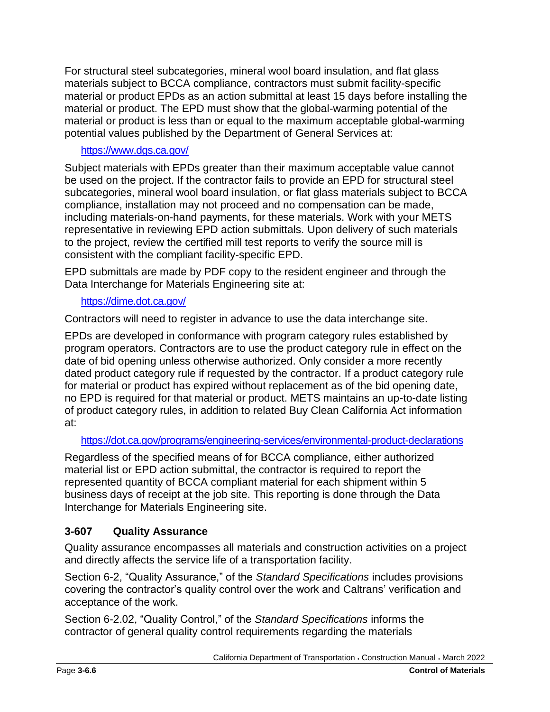For structural steel subcategories, mineral wool board insulation, and flat glass materials subject to BCCA compliance, contractors must submit facility-specific material or product EPDs as an action submittal at least 15 days before installing the material or product. The EPD must show that the global-warming potential of the material or product is less than or equal to the maximum acceptable global-warming potential values published by the Department of General Services at:

### https://www.dgs.ca.gov/

Subject materials with EPDs greater than their maximum acceptable value cannot be used on the project. If the contractor fails to provide an EPD for structural steel subcategories, mineral wool board insulation, or flat glass materials subject to BCCA compliance, installation may not proceed and no compensation can be made, including materials-on-hand payments, for these materials. Work with your METS representative in reviewing EPD action submittals. Upon delivery of such materials to the project, review the certified mill test reports to verify the source mill is consistent with the compliant facility-specific EPD.

EPD submittals are made by PDF copy to the resident engineer and through the Data Interchange for Materials Engineering site at:

## https://dime.dot.ca.gov/

Contractors will need to register in advance to use the data interchange site.

EPDs are developed in conformance with program category rules established by program operators. Contractors are to use the product category rule in effect on the date of bid opening unless otherwise authorized. Only consider a more recently dated product category rule if requested by the contractor. If a product category rule for material or product has expired without replacement as of the bid opening date, no EPD is required for that material or product. METS maintains an up-to-date listing of product category rules, in addition to related Buy Clean California Act information at:

<https://dot.ca.gov/programs/engineering-services/environmental-product-declarations>

Regardless of the specified means of for BCCA compliance, either authorized material list or EPD action submittal, the contractor is required to report the represented quantity of BCCA compliant material for each shipment within 5 business days of receipt at the job site. This reporting is done through the Data Interchange for Materials Engineering site.

# <span id="page-7-0"></span>**3-607 Quality Assurance**

Quality assurance encompasses all materials and construction activities on a project and directly affects the service life of a transportation facility.

Section 6-2, "Quality Assurance," of the *Standard Specifications* includes provisions covering the contractor's quality control over the work and Caltrans' verification and acceptance of the work.

Section 6-2.02, "Quality Control," of the *Standard Specifications* informs the contractor of general quality control requirements regarding the materials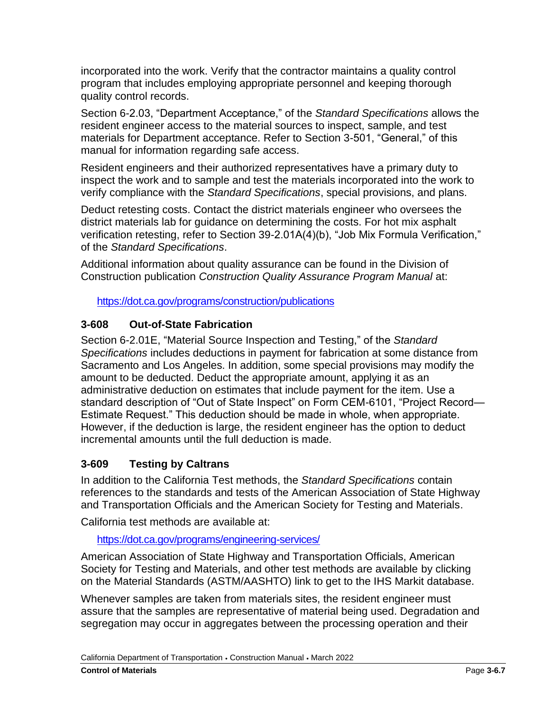incorporated into the work. Verify that the contractor maintains a quality control program that includes employing appropriate personnel and keeping thorough quality control records.

Section 6-2.03, "Department Acceptance," of the *Standard Specifications* allows the resident engineer access to the material sources to inspect, sample, and test materials for Department acceptance. Refer to Section 3-501, "General," of this manual for information regarding safe access.

Resident engineers and their authorized representatives have a primary duty to inspect the work and to sample and test the materials incorporated into the work to verify compliance with the *Standard Specifications*, special provisions, and plans.

Deduct retesting costs. Contact the district materials engineer who oversees the district materials lab for guidance on determining the costs. For hot mix asphalt verification retesting, refer to Section 39-2.01A(4)(b), "Job Mix Formula Verification," of the *Standard Specifications*.

Additional information about quality assurance can be found in the Division of Construction publication *Construction Quality Assurance Program Manual* at:

<https://dot.ca.gov/programs/construction/publications>

## <span id="page-8-0"></span>**3-608 Out-of-State Fabrication**

Section 6-2.01E, "Material Source Inspection and Testing," of the *Standard Specifications* includes deductions in payment for fabrication at some distance from Sacramento and Los Angeles. In addition, some special provisions may modify the amount to be deducted. Deduct the appropriate amount, applying it as an administrative deduction on estimates that include payment for the item. Use a standard description of "Out of State Inspect" on Form CEM-6101, "Project Record— Estimate Request." This deduction should be made in whole, when appropriate. However, if the deduction is large, the resident engineer has the option to deduct incremental amounts until the full deduction is made.

# <span id="page-8-1"></span>**3-609 Testing by Caltrans**

In addition to the California Test methods, the *Standard Specifications* contain references to the standards and tests of the American Association of State Highway and Transportation Officials and the American Society for Testing and Materials.

California test methods are available at:

<https://dot.ca.gov/programs/engineering-services/>

American Association of State Highway and Transportation Officials, American Society for Testing and Materials, and other test methods are available by clicking on the Material Standards (ASTM/AASHTO) link to get to the IHS Markit database.

Whenever samples are taken from materials sites, the resident engineer must assure that the samples are representative of material being used. Degradation and segregation may occur in aggregates between the processing operation and their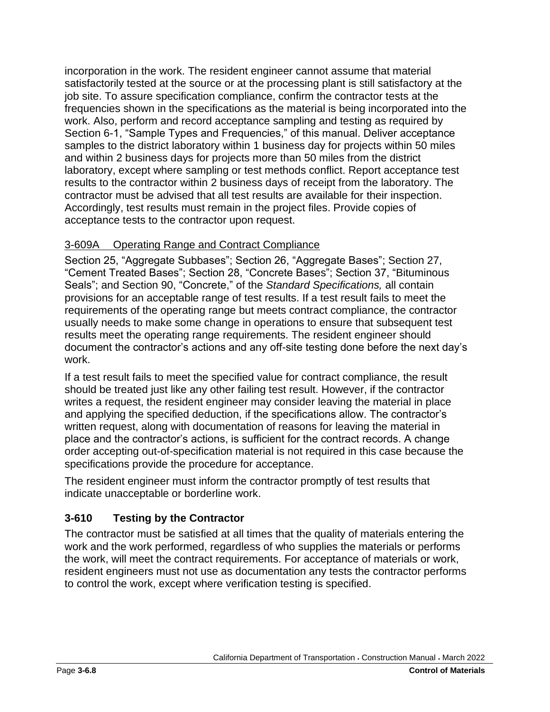incorporation in the work. The resident engineer cannot assume that material satisfactorily tested at the source or at the processing plant is still satisfactory at the job site. To assure specification compliance, confirm the contractor tests at the frequencies shown in the specifications as the material is being incorporated into the work. Also, perform and record acceptance sampling and testing as required by Section 6-1, "Sample Types and Frequencies," of this manual. Deliver acceptance samples to the district laboratory within 1 business day for projects within 50 miles and within 2 business days for projects more than 50 miles from the district laboratory, except where sampling or test methods conflict. Report acceptance test results to the contractor within 2 business days of receipt from the laboratory. The contractor must be advised that all test results are available for their inspection. Accordingly, test results must remain in the project files. Provide copies of acceptance tests to the contractor upon request.

## <span id="page-9-0"></span>3-609A Operating Range and Contract Compliance

Section 25, "Aggregate Subbases"; Section 26, "Aggregate Bases"; Section 27, "Cement Treated Bases"; Section 28, "Concrete Bases"; Section 37, "Bituminous Seals"; and Section 90, "Concrete," of the *Standard Specifications,* all contain provisions for an acceptable range of test results. If a test result fails to meet the requirements of the operating range but meets contract compliance, the contractor usually needs to make some change in operations to ensure that subsequent test results meet the operating range requirements. The resident engineer should document the contractor's actions and any off-site testing done before the next day's work.

If a test result fails to meet the specified value for contract compliance, the result should be treated just like any other failing test result. However, if the contractor writes a request, the resident engineer may consider leaving the material in place and applying the specified deduction, if the specifications allow. The contractor's written request, along with documentation of reasons for leaving the material in place and the contractor's actions, is sufficient for the contract records. A change order accepting out-of-specification material is not required in this case because the specifications provide the procedure for acceptance.

The resident engineer must inform the contractor promptly of test results that indicate unacceptable or borderline work.

# <span id="page-9-1"></span>**3-610 Testing by the Contractor**

The contractor must be satisfied at all times that the quality of materials entering the work and the work performed, regardless of who supplies the materials or performs the work, will meet the contract requirements. For acceptance of materials or work, resident engineers must not use as documentation any tests the contractor performs to control the work, except where verification testing is specified.